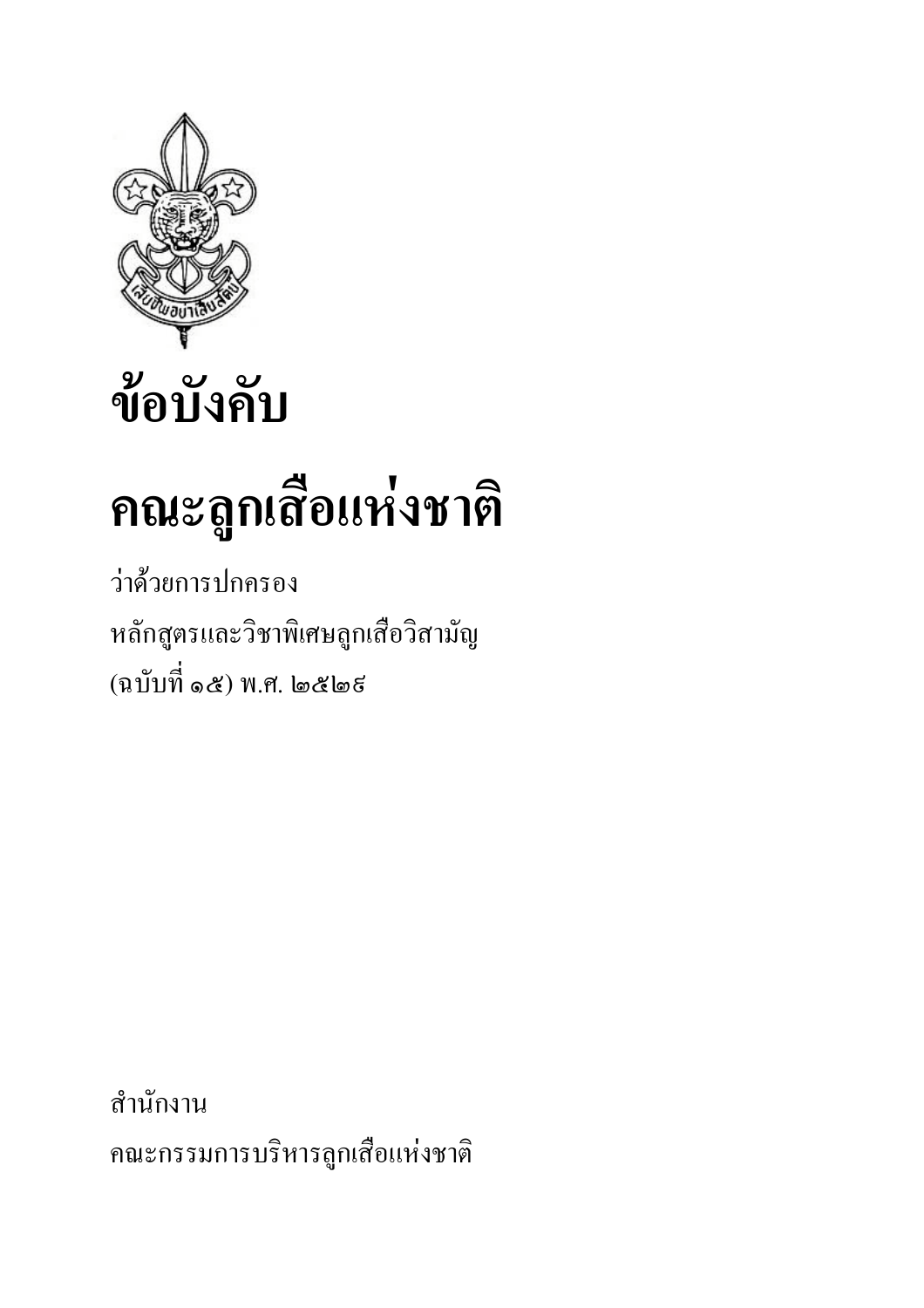

## ข้อบังคับ

# คณะลูกเสื้อแห่งชาติ

ว่าด้วยการปกครอง หลักสูตรและวิชาพิเศษลูกเสือวิสามัญ (ฉบับที่ ๑๕) พ.ศ. ๒๕๒ธ

สำนักงาน คณะกรรมการบริหารลูกเสือแห่งชาติ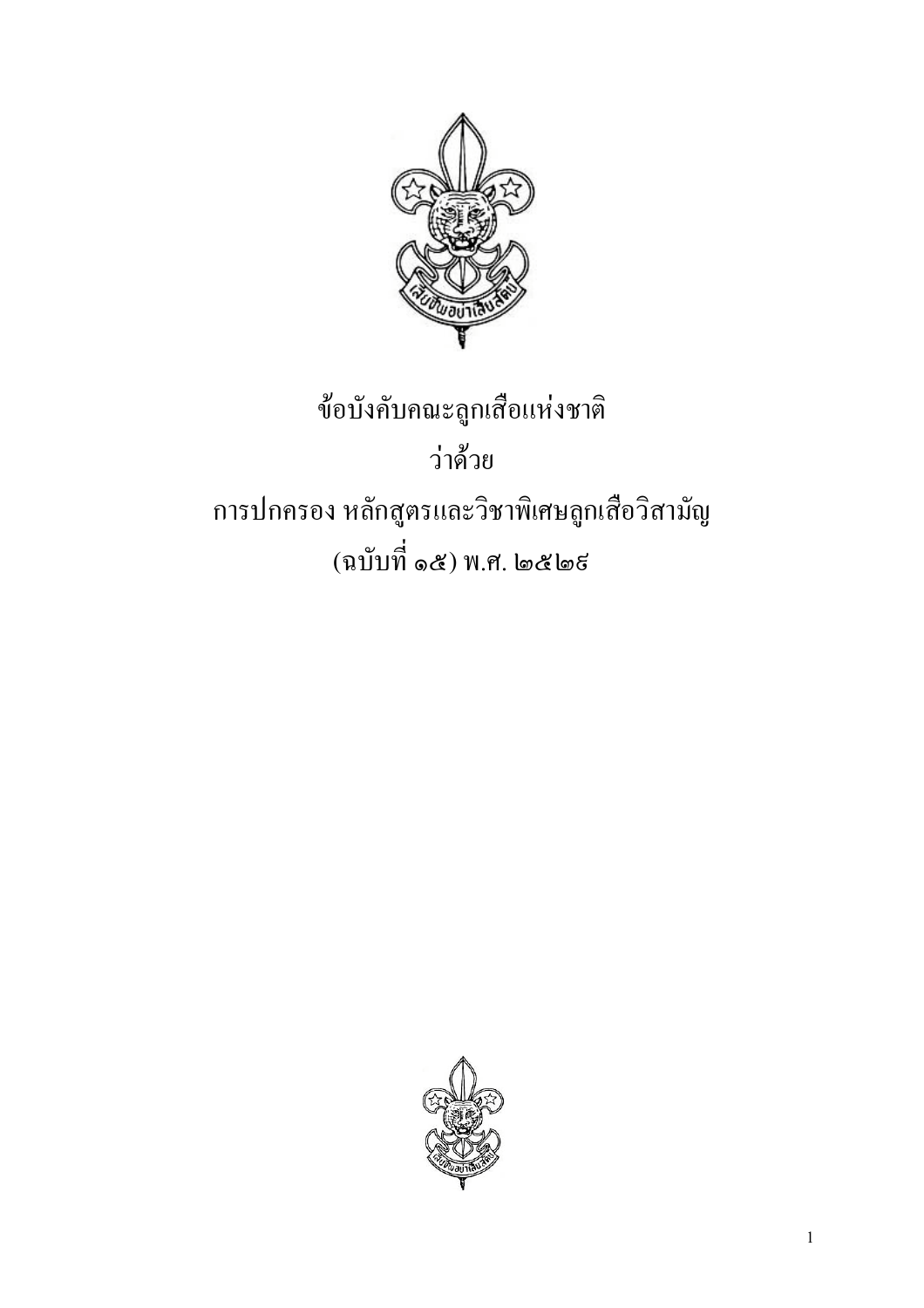

## ข้อบังคับคณะลูกเสื้อแห่งชาติ ว่าด้วย การปกครอง หลักสูตรและวิชาพิเศษลูกเสือวิสามัญ (ฉบับที่ ๑๕) พ.ศ. ๒๕๒ธ

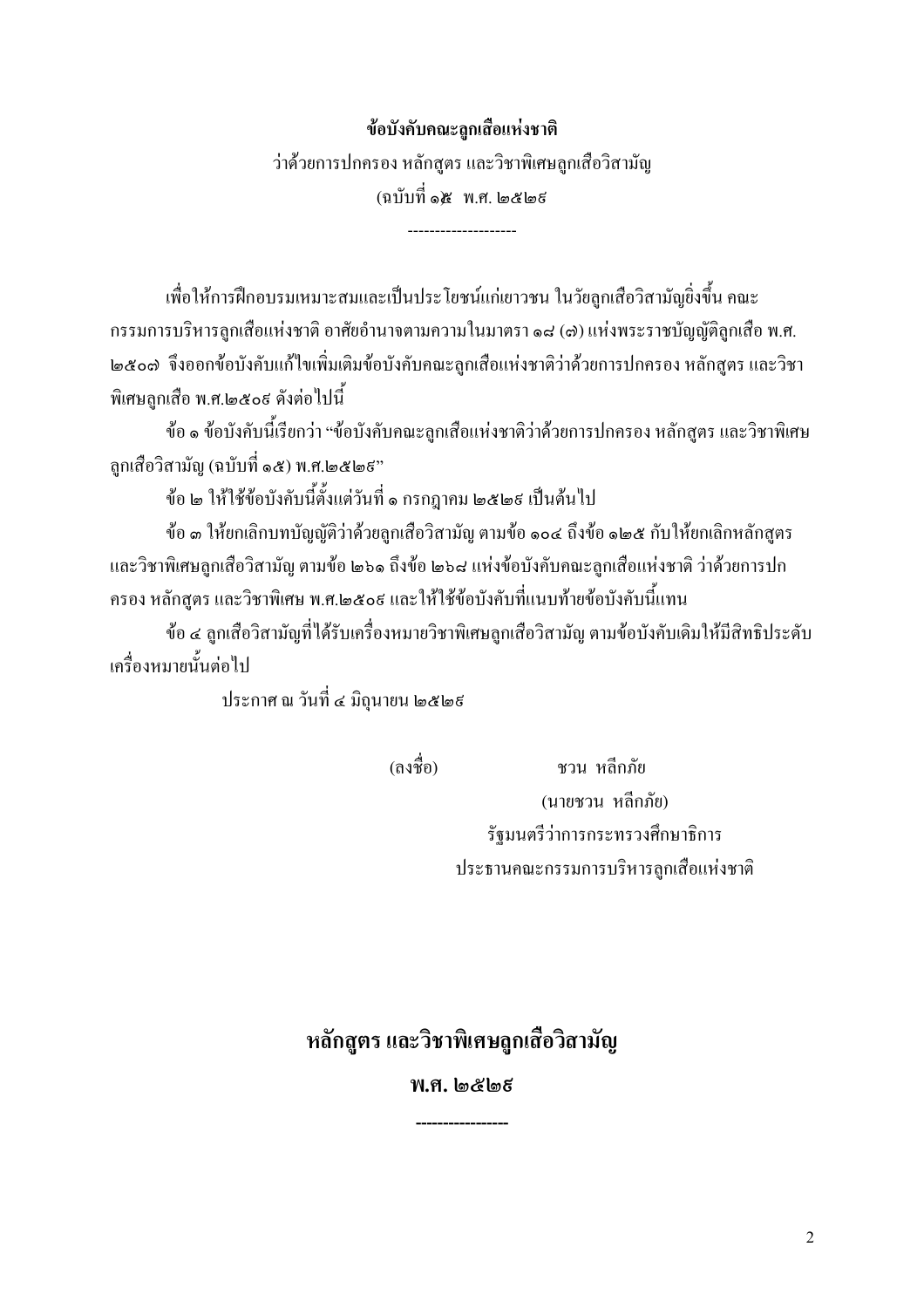#### ข้อบังคับคณะลูกเสื้อแห่งชาติ

ว่าด้วยการปกครอง หลักสูตร และวิชาพิเศษลูกเสื้อวิสามัญ (ฉบับที่ ๑๕ พ.ศ. ๒๕๒ธ

้ เพื่อให้การฝึกอบรมเหมาะสมและเป็นประ โยชน์แก่เยาวชน ในวัยลูกเสือวิสามัญยิ่งขึ้น คณะ กรรมการบริหารลูกเสือแห่งชาติ อาศัยอำนาจตามความในมาตรา ๑๘ (๓) แห่งพระราชบัญญัติลูกเสือ พ.ศ. <u>ไต๕๐๗ จึงออกข้อบังคับแก้ไขเพิ่มเติมข้อบังคับคณะลูกเสือแห่งชาติว่าด้วยการปกครอง หลักสูตร และวิชา</u> พิเศษลกเสือ พ.ศ.๒๕๐ธ ดังต่อไปนี้

้ ข้อ ๑ ข้อบังคับนี้เรียกว่า "ข้อบังคับคณะลกเสือแห่งชาติว่าด้วยการปกครอง หลักสตร และวิชาพิเศษ ลกเสือวิสามัณ (ฉบับที่ ๑๕) พ.ศ.๒๕๒ธ"

ข้อ ๒ ให้ใช้ข้อบังคับนี้ตั้งแต่วันที่ ๑ กรกฎาคม ๒๕๒៩ เป็นต้นไป

ข้อ ๓ ให้ยกเลิกบทบัญญัติว่าด้วยลูกเสือวิสามัญ ตามข้อ ๑๐๔ ถึงข้อ ๑๒๕ กับให้ยกเลิกหลักสูตร และวิชาพิเศษลูกเสือวิสามัญ ตามข้อ ๒๖๑ ถึงข้อ ๒๖๘ แห่งข้อบังคับคณะลูกเสือแห่งชาติ ว่าด้วยการปก ้ครอง หลักสูตร และวิชาพิเศษ พ.ศ.๒๕๐៩ และให้ใช้ข้อบังคับที่แนบท้ายข้อบังคับนี้แทน

ข้อ ๔ ลูกเสือวิสามัญที่ได้รับเครื่องหมายวิชาพิเศษลูกเสือวิสามัญ ตามข้อบังคับเดิมให้มีสิทธิประดับ ้เครื่องหมายนั้นต่อไป

ประกาศ ณ วันที่ ๔ มิถุนายน ๒๕๒៩

(ลงชื่อ)

ชวน หลีกภัย (นายชวน หลีกภัย) รัฐมนตรีว่าการกระทรวงศึกษาธิการ ประธานคณะกรรมการบริหารลกเสือแห่งชาติ

## ิ หลักสูตร และวิชาพิเศษลูกเสือวิสามัญ

#### พ.ศ. โต๕โตธี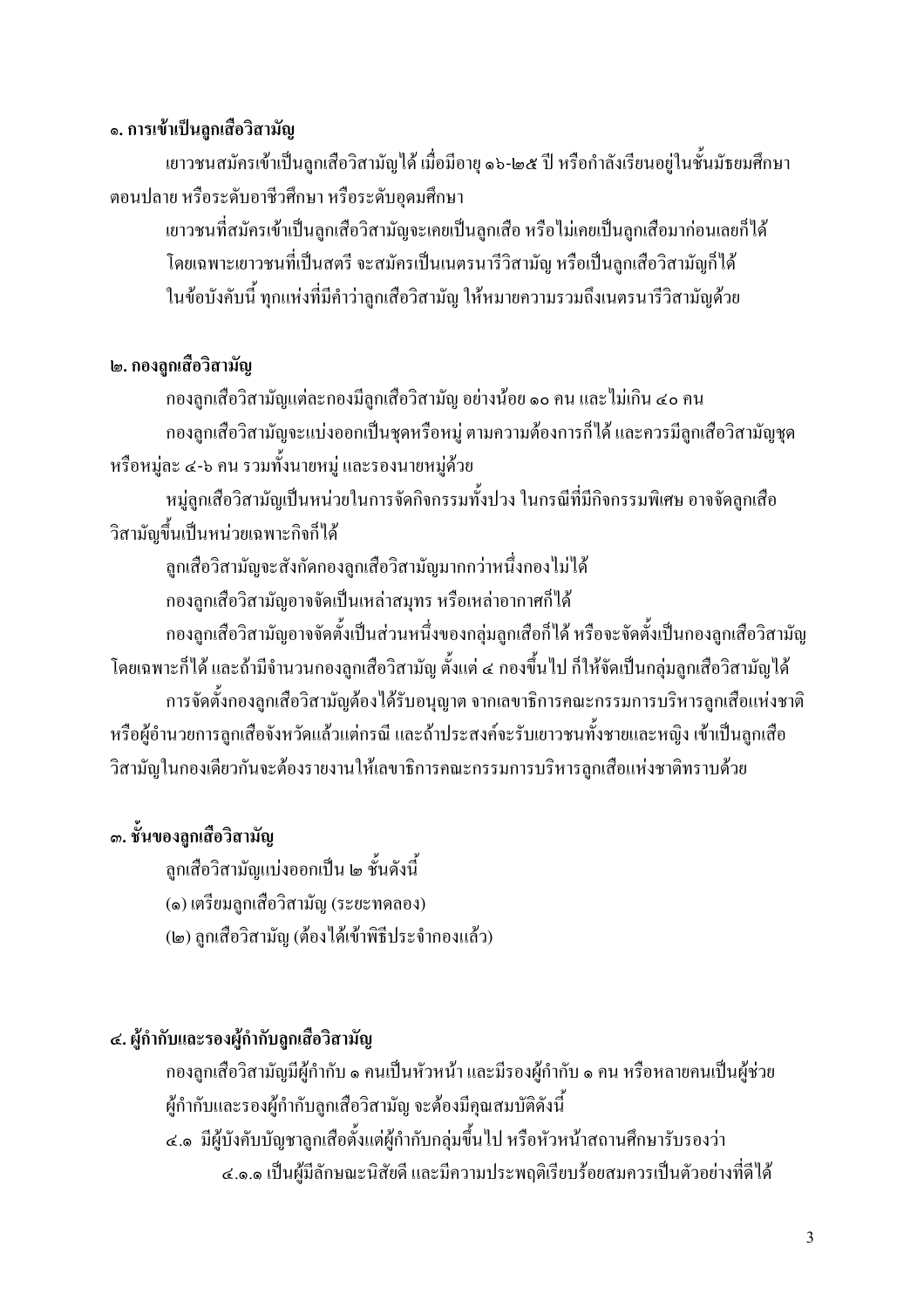#### ๑. การเข้าเป็นลูกเสื้อวิสามัญ

เยาวชนสมัครเข้าเป็นลูกเสือวิสามัญได้ เมื่อมีอายุ ๑๖-๒๕ ปี หรือกำลังเรียนอยู่ในชั้นมัธยมศึกษา ้ตอนปลาย หรือระดับอาชีวศึกษา หรือระดับอดมศึกษา

เยาวชนที่สมัครเข้าเป็นลกเสือวิสามัญจะเคยเป็นลกเสือ หรือไม่เคยเป็นลกเสือมาก่อนเลยก็ได้ โดยเฉพาะเยาวชนที่เป็นสตรี จะสมัครเป็นเนตรนารีวิสามัญ หรือเป็นลกเสือวิสามัญก็ได้ ในข้อบังคับนี้ ทุกแห่งที่มีคำว่าลูกเสือวิสามัญ ให้หมายความรวมถึงเนตรนารีวิสามัญด้วย

#### ๒. กองลกเสื้อวิสามัญ

ึกองลูกเสือวิสามัญแต่ละกองมีลูกเสือวิสามัญ อย่างน้อย ๑๐ คน และไม่เกิน ๔๐ คน ึกองลูกเสือวิสามัญจะแบ่งออกเป็นชุดหรือหมู่ ตามความต้องการก็ได้ และควรมีลูกเสือวิสามัญชุด หรือหมู่ละ ๔-๖ คน รวมทั้งนายหมู่ และรองนายหมู่ด้วย

หมู่ลูกเสือวิสามัญเป็นหน่วยในการจัดกิจกรรมทั้งปวง ในกรณีที่มีกิจกรรมพิเศษ อาจจัดลูกเสือ วิสามัญขึ้นเป็นหน่วยเฉพาะกิจก็ได้

ลูกเสือวิสามัญจะสังกัดกองลูกเสือวิสามัญมากกว่าหนึ่งกองไม่ได้

ึกองลูกเสือวิสามัญอาจจัดเป็นเหล่าสมุทร หรือเหล่าอากาศก็ได้

ึกองลูกเสือวิสามัญอาจจัดตั้งเป็นส่วนหนึ่งของกลุ่มลูกเสือก็ได้ หรือจะจัดตั้งเป็นกองลูกเสือวิสามัญ โดยเฉพาะก็ได้ และถ้ามีจำนวนกองลูกเสือวิสามัญ ตั้งแต่ ๔ กองขึ้นไป ก็ให้จัดเป็นกลุ่มลูกเสือวิสามัญได้

ึการจัดตั้งกองลูกเสือวิสามัญต้องได้รับอนุญาต จากเลขาธิการคณะกรรมการบริหารลูกเสือแห่งชาติ หรือผู้อำนวยการลูกเสือจังหวัดแล้วแต่กรณี และถ้าประสงค์จะรับเยาวชนทั้งชายและหญิง เข้าเป็นลูกเสือ วิสามัญในกองเดียวกันจะต้องรายงานให้เลขาธิการคณะกรรมการบริหารลูกเสือแห่งชาติทราบด้วย

## ... ชั้นของลกเสื้อวิสามัญ

ลูกเสือวิสามัญแบ่งออกเป็น ๒ ชั้นดังนี้

(๑) เตรียมลูกเสือวิสามัญ (ระยะทดลอง)

(๒) ลกเสือวิสามัณ (ต้องใด้เข้าพิธีประจำกองแล้ว)

#### ๔. ผู้กำกับและรองผู้กำกับลูกเสื้อวิสามัญ

ึกองลูกเสือวิสามัญมีผู้กำกับ ๑ คนเป็นหัวหน้า และมีรองผู้กำกับ ๑ คน หรือหลายคนเป็นผู้ช่วย ผู้กำกับและรองผู้กำกับลูกเสือวิสามัญ จะต้องมีคุณสมบัติดังนี้

๔.๑ มีผู้บังคับบัญชาลูกเสื้อตั้งแต่ผู้กำกับกลุ่มขึ้นไป หรือหัวหน้าสถานศึกษารับรองว่า ๔.๑.๑ เป็นผู้มีลักษณะนิสัยดี และมีความประพฤติเรียบร้อยสมควรเป็นตัวอย่างที่ดีได้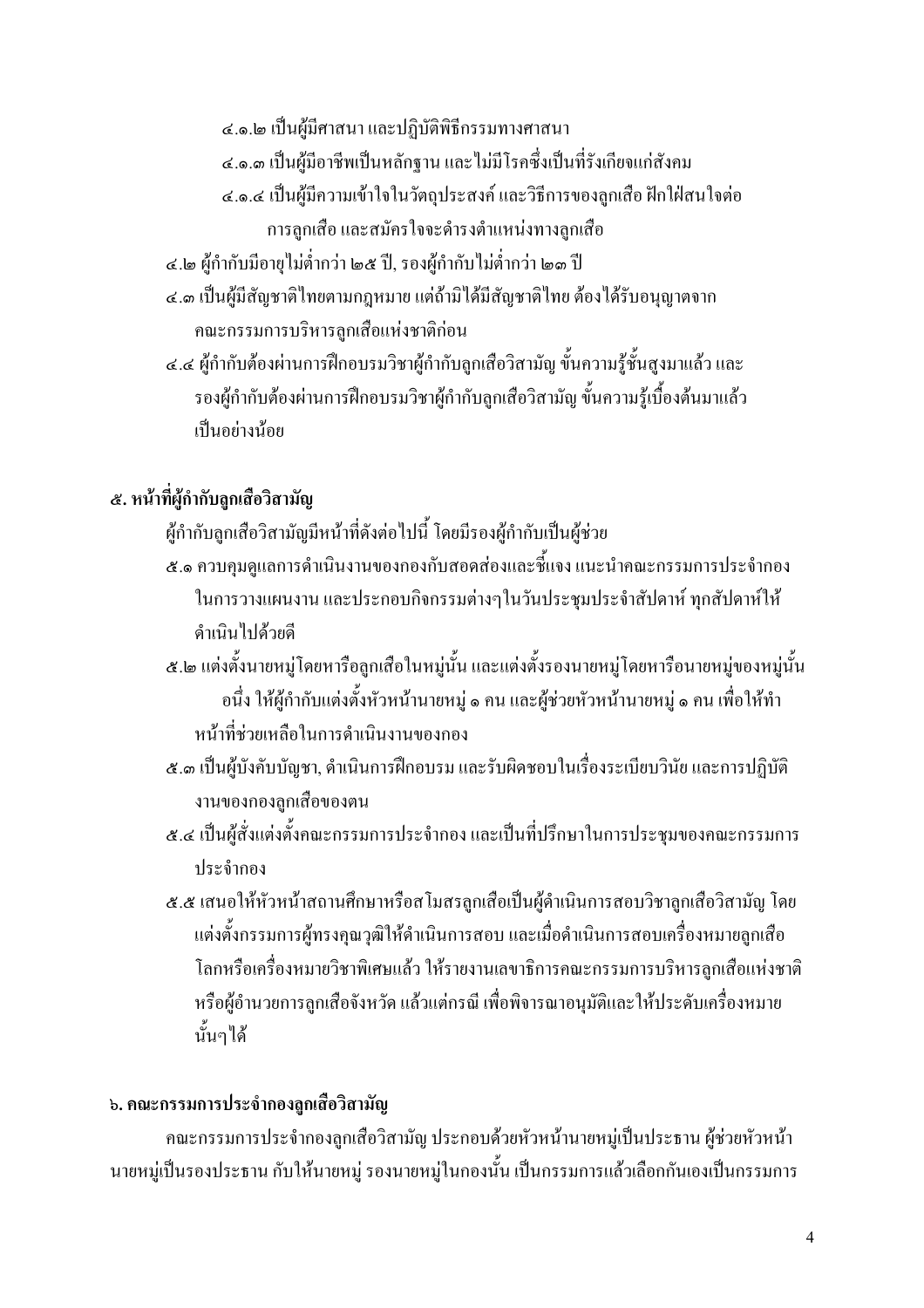๔.๑.๒ เป็นผู้มีศาสนา และปฏิบัติพิธีกรรมทางศาสนา

- ๔.๑.๓ เป็นผ้มือาชีพเป็นหลักจาน และไม่มีโรคซึ่งเป็นที่รังเกียงแก่สังคม
- ๔.๑.๔ เป็นผู้มีความเข้าใจในวัตถุประสงค์ และวิธีการของลูกเสือ ฝักใฝ่สนใจต่อ การลูกเสือ และสมัครใจจะดำรงตำแหน่งทางลูกเสือ
- ๔.๒ ผู้กำกับมือายุไม่ต่ำกว่า ๒๕ ปี, รองผู้กำกับไม่ต่ำกว่า ๒๑ ปี
- ๔.๑ เป็นผู้มีสัญชาติใทยตามกฎหมาย แต่ถ้ามิได้มีสัญชาติใทย ต้องได้รับอนุญาตจาก คณะกรรมการบริหารลูกเสือแห่งชาติก่อน
- ้ ๔.๔ ผู้กำกับต้องผ่านการฝึกอบรมวิชาผู้กำกับลูกเสือวิสามัญ ขั้นความรู้ชั้นสูงมาแล้ว และ รองผู้กำกับต้องผ่านการฝึกอบรมวิชาผู้กำกับลูกเสือวิสามัญ ขั้นความรู้เบื้องต้นมาแล้ว เป็นอย่างน้อย

## ๕. หน้าที่ผู้กำกับลูกเสือวิสามัญ

- ผู้กำกับลูกเสือวิสามัญมีหน้าที่ดังต่อไปนี้ โดยมีรองผู้กำกับเป็นผู้ช่วย
- ๕.๑ ควบคุมดูแลการคำเนินงานของกองกับสอดส่องและชี้แจง แนะนำคณะกรรมการประจำกอง ในการวางแผนงาน และประกอบกิจกรรมต่างๆในวันประชุมประจำสัปดาห์ ทุกสัปดาห์ให้ ดำเบินไปด้วยดี
- ๕.๒ แต่งตั้งนายหมู่โดยหารือลูกเสือในหมู่นั้น และแต่งตั้งรองนายหมู่โดยหารือนายหมู่ของหมู่นั้น อนึ่ง ให้ผู้กำกับแต่งตั้งหัวหน้านายหมู่ ๑ คน และผู้ช่วยหัวหน้านายหมู่ ๑ คน เพื่อให้ทำ หน้าที่ห่วยเหลือในการดำเนินงานของกอง
- ๕.๑ เป็นผู้บังคับบัญชา, คำเนินการฝึกอบรม และรับผิดชอบในเรื่องระเบียบวินัย และการปฏิบัติ งานของกองลกเสื้อของตน
- ๕.๔ เป็นผู้สั่งแต่งตั้งคณะกรรมการประจำกอง และเป็นที่ปรึกษาในการประชุมของคณะกรรมการ ประจำกอง
- ๕.๕ เสนอให้หัวหน้าสถานศึกษาหรือสโมสรลูกเสื้อเป็นผู้คำเนินการสอบวิชาลูกเสื้อวิสามัญ โดย แต่งตั้งกรรมการผู้ทรงคุณวุฒิให้ดำเนินการสอบ และเมื่อดำเนินการสอบเครื่องหมายลูกเสือ โลกหรือเครื่องหมายวิชาพิเศษแล้ว ให้รายงานเลขาธิการคณะกรรมการบริหารลกเสือแห่งชาติ หรือผ้อำนวยการลกเสือจังหวัด แล้วแต่กรณี เพื่อพิจารณาอนมัติและให้ประดับเครื่องหมาย นั้นๆได้

## ้ ๖. คณะกรรมการประจำกองลูกเสือวิสามัญ

ึกณะกรรมการประจำกองลูกเสือวิสามัญ ประกอบด้วยหัวหน้านายหมู่เป็นประธาน ผู้ช่วยหัวหน้า ินายหมู่เป็นรองประธาน กับให้นายหมู่ รองนายหมู่ในกองนั้น เป็นกรรมการแล้วเลือกกันเองเป็นกรรมการ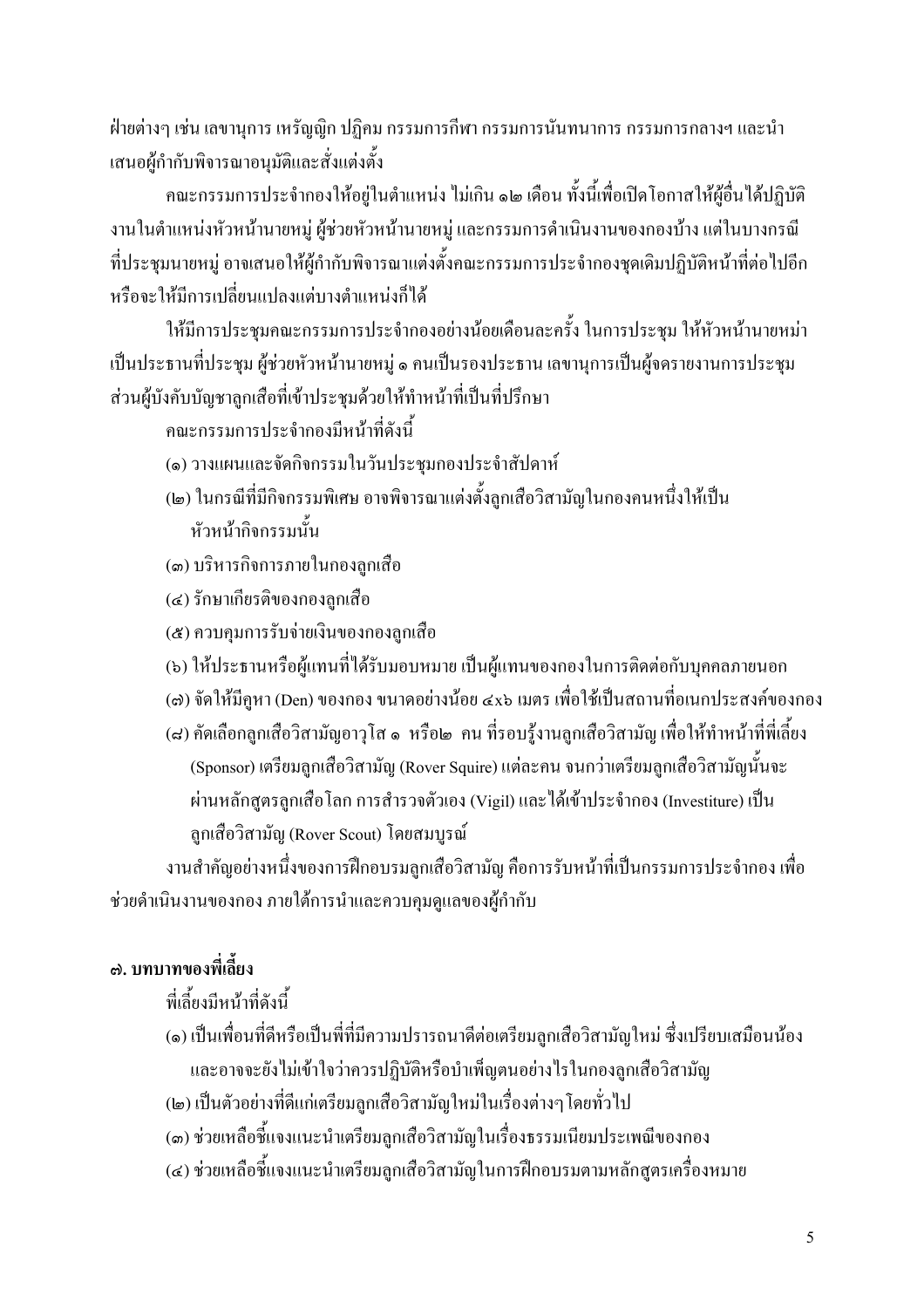้ ฝ่ายต่างๆ เช่น เลขานการ เหรัญญิก ปฏิคม กรรมการกีฬา กรรมการนั้นทนาการ กรรมการกลางฯ และนำ เสนอผู้กำกับพิจารณาอนมัติและสั่งแต่งตั้ง

ึคณะกรรมการประจำกองให้อยู่ในตำแหน่ง ไม่เกิน ๑๒ เคือน ทั้งนี้เพื่อเปิดโอกาสให้ผู้อื่นได้ปฏิบัติ งานในตำแหน่งหัวหน้านายหมู่ ผู้ช่วยหัวหน้านายหมู่ และกรรมการดำเนินงานของกองบ้าง แต่ในบางกรณี ้ที่ประชุมนายหมู่ อาจเสนอให้ผู้กำกับพิจารณาแต่งตั้งคณะกรรมการประจำกองชุดเดิมปฏิบัติหน้าที่ต่อไปอีก หรือจะให้มีการเปลี่ยนแปลงแต่บางตำแหน่งก็ได้

ให้มีการประชุมคณะกรรมการประจำกองอย่างน้อยเดือนละครั้ง ในการประชุม ให้หัวหน้านายหม่า เป็นประธานที่ประชุม ผู้ช่วยหัวหน้านายหมู่ ๑ คนเป็นรองประธาน เลขานุการเป็นผู้จดรายงานการประชุม ส่วนผู้บังคับบัญชาลูกเสือที่เข้าประชุมด้วยให้ทำหน้าที่เป็นที่ปรึกษา

ดณะกรรมการประจำกองมีหน้าที่ดังนี้

- (๑) วางแผนและจัดกิจกรรมในวันประชุมกองประจำสัปดาห์
- (๒) ในกรณีที่มีกิจกรรมพิเศษ อาจพิจารณาแต่งตั้งลูกเสือวิสามัญในกองคนหนึ่งให้เป็น หัวหน้ากิจกรรมนั้น
- (๑) บริหารกิจการภายในกองลูกเสือ
- (๔) รักษาเกียรติของกองลูกเสือ
- (๕) ควบคุมการรับจ่ายเงินของกองลูกเสือ
- (๖) ให้ประธานหรือผู้แทนที่ได้รับมอบหมาย เป็นผู้แทนของกองในการติดต่อกับบุคคลภายนอก
- (๘) จัดให้มีคูหา (Den) ของกอง ขนาดอย่างน้อย ๔x๖ เมตร เพื่อใช้เป็นสถานที่อเนกประสงค์ของกอง
- (๘) คัดเลือกลูกเสือวิสามัญอาวุโส ๑ หรือ๒ คน ที่รอบรู้งานลูกเสือวิสามัญ เพื่อให้ทำหน้าที่พี่เลี้ยง (Sponsor) เตรียมลูกเสือวิสามัญ (Rover Squire) แต่ละคน จนกว่าเตรียมลูกเสือวิสามัญนั้นจะ ผ่านหลักสูตรลูกเสื้อโลก การสำรวจตัวเอง (Vigil) และได้เข้าประจำกอง (Investiture) เป็น ลูกเสือวิสามัญ (Rover Scout) โดยสมบูรณ์

งานสำคัญอย่างหนึ่งของการฝึกอบรมลูกเสือวิสามัญ คือการรับหน้าที่เป็นกรรมการประจำกอง เพื่อ ช่วยคำเนินงานของกอง ภายใต้การนำและควบคุมดูแลของผู้กำกับ

## ี ๗. บทบาทของพี่เลี้ยง

## พี่เลี้ยงบีหบ้าที่ดังบี้

- (๑) เป็นเพื่อนที่ดีหรือเป็นพี่ที่มีความปรารถนาดีต่อเตรียมลูกเสือวิสามัญใหม่ ซึ่งเปรียบเสมือนน้อง และอาจจะยังไม่เข้าใจว่าควรปฏิบัติหรือบำเพ็ญตนอย่างไรในกองลูกเสือวิสามัญ
- (๒) เป็นตัวอย่างที่ดีแก่เตรียมลูกเสือวิสามัญใหม่ในเรื่องต่างๆ โดยทั่วไป
- (๑) ช่วยเหลือชี้แจงแนะนำเตรียมลูกเสือวิสามัญในเรื่องธรรมเนียมประเพณีของกอง
- (๔) ช่วยเหลือชี้แจงแนะนำเตรียมลูกเสือวิสามัญในการฝึกอบรมตามหลักสูตรเครื่องหมาย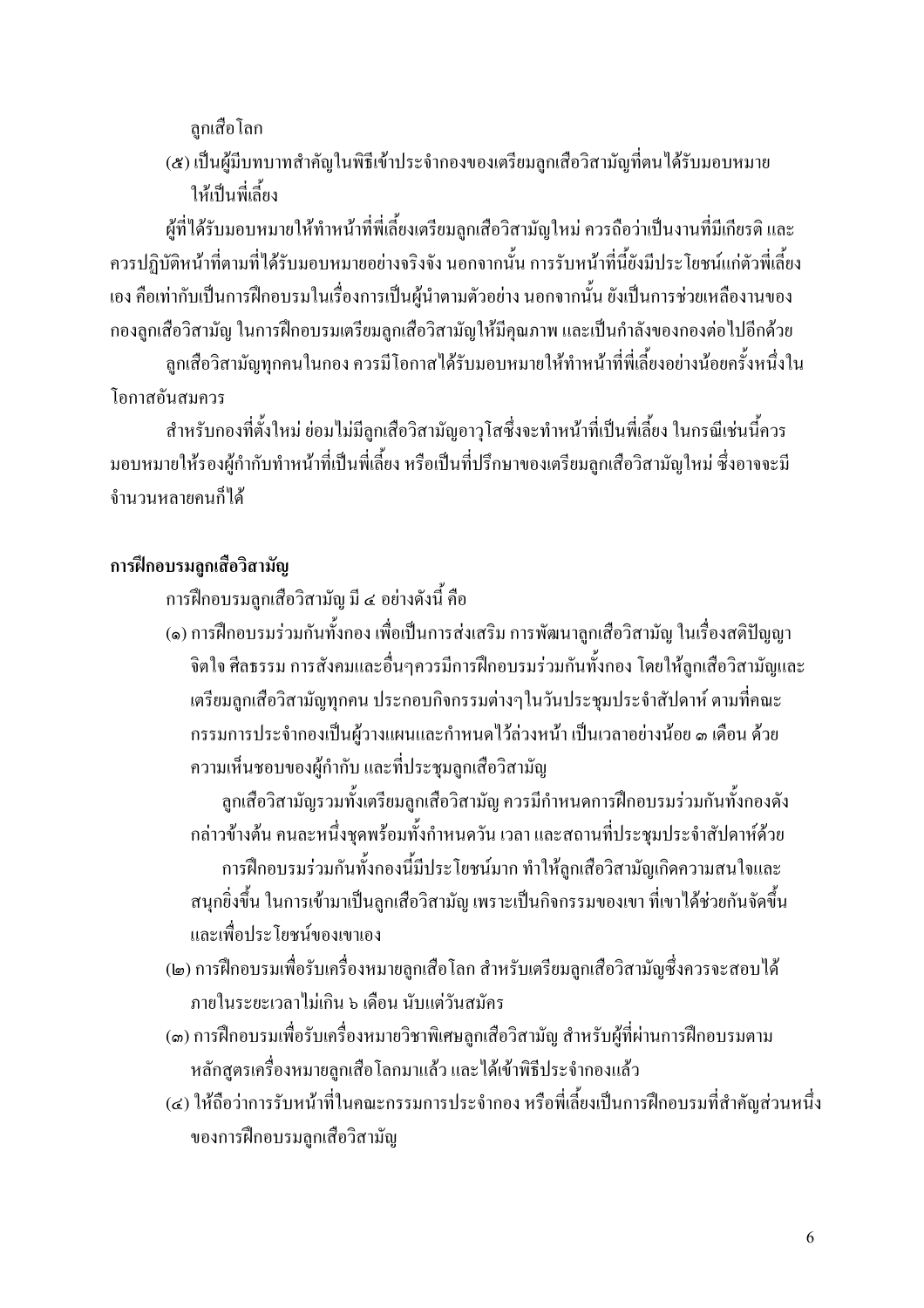ลกเสือโลก

(๕) เป็นผู้มีบทบาทสำคัญในพิธีเข้าประจำกองของเตรียมลกเสือวิสามัญที่ตนได้รับมอบหมาย ให้เป็นพี่เลี้ยง

ผู้ที่ได้รับมอบหมายให้ทำหน้าที่พี่เลี้ยงเตรียมลูกเสือวิสามัญใหม่ ควรถือว่าเป็นงานที่มีเกียรติ และ ้ควรปฏิบัติหน้าที่ตามที่ได้รับมอบหมายอย่างจริงจัง นอกจากนั้น การรับหน้าที่นี้ยังมีประโยชน์แก่ตัวพี่เลี้ยง เอง คือเท่ากับเป็นการฝึกอบรมในเรื่องการเป็นผู้นำตามตัวอย่าง นอกจากนั้น ยังเป็นการช่วยเหลืองานของ ึกองลูกเสือวิสามัญ ในการฝึกอบรมเตรียมลูกเสือวิสามัญให้มีคุณภาพ และเป็นกำลังของกองต่อไปอีกด้วย

ลูกเสือวิสามัญทุกคนในกอง ควรมีโอกาสได้รับมอบหมายให้ทำหน้าที่พี่เลี้ยงอย่างน้อยครั้งหนึ่งใน โอกาสอันสมควร

้สำหรับกองที่ตั้งใหม่ ย่อมไม่มีลูกเสือวิสามัญอาวุโสซึ่งจะทำหน้าที่เป็นพี่เลี้ยง ในกรณีเช่นนี้ควร ้มอบหมายให้รองผู้กำกับทำหน้าที่เป็นพี่เลี้ยง หรือเป็นที่ปรึกษาของเตรียมลูกเสือวิสามัญใหม่ ซึ่งอาจจะมี ้จำบวบหลายคนก็ได้

## ุการฝึกอบรมถูกเสื้อวิสามัญ

การฝึกอบรมลูกเสือวิสามัญ มี ๔ อย่างดังนี้ คือ

(๑) การฝึกอบรมร่วมกันทั้งกอง เพื่อเป็นการส่งเสริม การพัฒนาลูกเสือวิสามัญ ในเรื่องสติปัญญา จิตใจ ศีลธรรม การสังคมและอื่นๆควรมีการฝึกอบรมร่วมกันทั้งกอง โดยให้ลูกเสือวิสามัญและ เตรียมลูกเสือวิสามัญทุกคน ประกอบกิจกรรมต่างๆในวันประชุมประจำสัปดาห์ ตามที่คณะ ้กรรมการประจำกองเป็นผู้วางแผนและกำหนดไว้ล่วงหน้า เป็นเวลาอย่างน้อย ๑ เดือน ด้วย ความเห็นชอบของผู้กำกับ และที่ประชุมลูกเสือวิสามัญ

้ลูกเสือวิสามัญรวมทั้งเตรียมลูกเสือวิสามัญ ควรมีกำหนดการฝึกอบรมร่วมกันทั้งกองดัง ึกล่าวข้างต้น คนละหนึ่งชุดพร้อมทั้งกำหนดวัน เวลา และสถานที่ประชุมประจำสัปดาห์ด้วย การฝึกอบรมร่วมกันทั้งกองนี้มีประโยชน์มาก ทำให้ลูกเสือวิสามัญเกิดความสนใจและ สนุกยิ่งขึ้น ในการเข้ามาเป็นลูกเสือวิสามัญ เพราะเป็นกิจกรรมของเขา ที่เขาได้ช่วยกันจัดขึ้น และเพื่อประโยชน์ของเขาเอง

- (๒) การฝึกอบรมเพื่อรับเครื่องหมายลูกเสือโลก สำหรับเตรียมลูกเสือวิสามัญซึ่งควรจะสอบได้ ภายในระยะเวลาไม่เกิน ๖ เดือน นับแต่วันสมัคร
- (๑) การฝึกอบรมเพื่อรับเครื่องหมายวิชาพิเศษลูกเสือวิสามัญ สำหรับผู้ที่ผ่านการฝึกอบรมตาม หลักสตรเครื่องหมายลกเสือโลกมาแล้ว และได้เข้าพิธีประจำกองแล้ว
- (๔) ให้ถือว่าการรับหน้าที่ในคณะกรรมการประจำกอง หรือพี่เลี้ยงเป็นการฝึกอบรมที่สำคัญส่วนหนึ่ง ของการฝึกอบรมลูกเสือวิสามัญ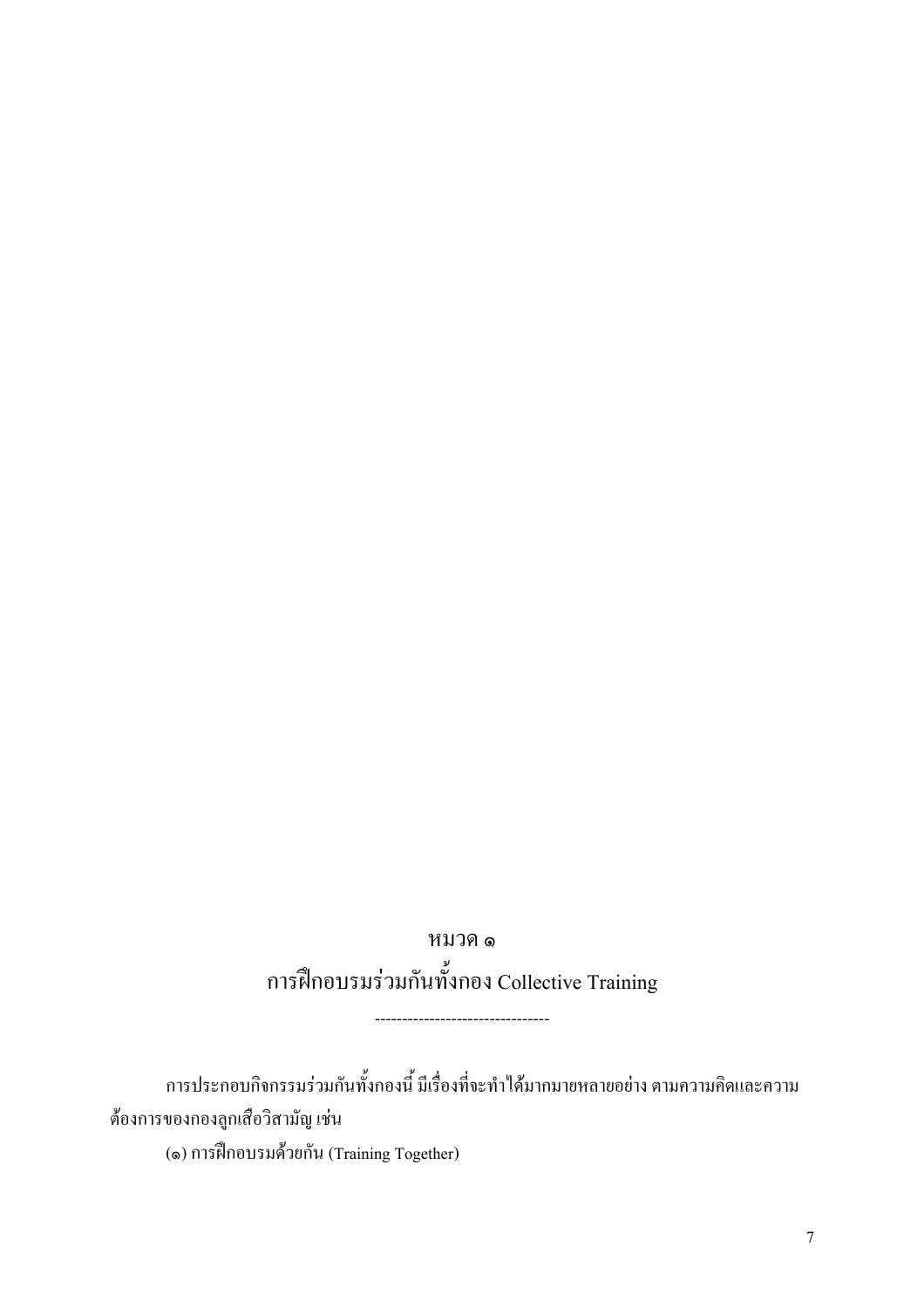หมวค ๑ การฝึกอบรมร่วมกันทั้งกอง Collective Training

การประกอบกิจกรรมร่วมกันทั้งกองนี้ มีเรื่องที่จะทำได้มากมายหลายอย่าง ตามความคิดและความ ต้องการของกองลูกเสือวิสามัญ เช่น

(๑) การฝึกอบรมด้วยกัน (Training Together)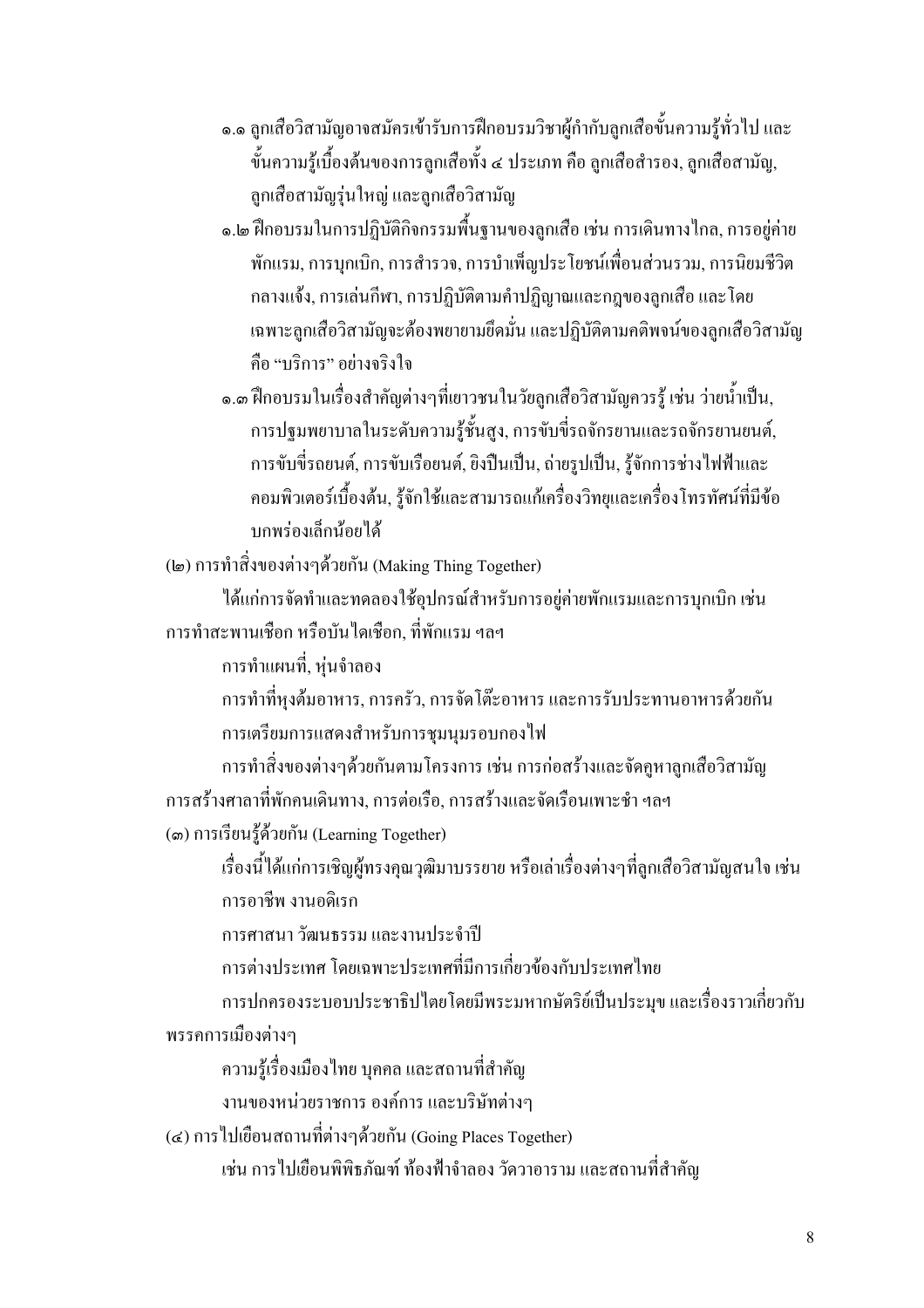- ๑.๑ ถกเสือวิสามัญอาจสมัครเข้ารับการฝึกอบรมวิชาผ้กำกับลกเสือขั้นความร้ทั่วไป และ ้ขั้นความร้เบื้องต้นของการลกเสือทั้ง ๔ ประเภท คือ ลกเสือสำรอง. ลกเสือสามัณ. ลูกเสื้อสามัญรุ่นใหญ่ และลูกเสื้อวิสามัญ
- ๑.๒ ฝึกอบรมในการปฏิบัติกิจกรรมพื้นฐานของลูกเสือ เช่น การเดินทางไกล, การอยู่ค่าย ้ พักแรม, การบุกเบิก, การสำรวจ, การบำเพ็ญประโยชน์เพื่อนส่วนรวม, การนิยมชีวิต ึกลางแจ้ง, การเล่นกีฬา, การปฏิบัติตามคำปฏิญาณและกฎของลูกเสือ และ โดย ้เฉพาะลูกเสือวิสามัญจะต้องพยายามยึดมั่น และปฏิบัติตามคติพจน์ของลูกเสือวิสามัญ ้คือ "บริการ" อย่างจริงใจ
- ๑.๓ ฝึกอบรมในเรื่องสำคัญต่างๆที่เยาวชนในวัยลูกเสือวิสามัญควรรู้ เช่น ว่ายน้ำเป็น, ึการปฐมพยาบาลในระดับความรู้ชั้นสูง, การขับขี่รถจักรยานและรถจักรยานยนต์, ึการขับขี่รถยนต์, การขับเรือยนต์, ยิงปืนเป็น, ถ่ายรูปเป็น, รู้จักการช่างไฟฟ้าและ ้ คอมพิวเตอร์เบื้องต้น, ร้จักใช้และสามารถแก้เครื่องวิทยและเครื่องโทรทัศน์ที่มีข้อ บกพร่องเล็กน้อยได้

(๒) การทำสิ่งของต่างๆด้วยกัน (Making Thing Together)

ใด้แก่การจัดทำและทดลองใช้อุปกรณ์สำหรับการอยู่ค่ายพักแรมและการบุกเบิก เช่น การทำสะพานเชือก หรือบันไดเชือก, ที่พักแรม ฯลฯ

การทำแผนที่, หุ่นจำลอง

ึการทำที่หุงต้มอาหาร, การครัว, การจัดโต๊ะอาหาร และการรับประทานอาหารด้วยกัน การเตรียมการแสดงสำหรับการชุมนุมรอบกองไฟ

ึการทำสิ่งของต่างๆด้วยกันตามโครงการ เช่น การก่อสร้างและจัดถูหาลูกเสือวิสามัญ การสร้างศาลาที่พักคนเดินทาง, การต่อเรือ, การสร้างและจัดเรือนเพาะชำ ฯลฯ

(๑) การเรียนรู้ค้วยกัน (Learning Together)

เรื่องนี้ได้แก่การเชิญผู้ทรงคุณวุฒิมาบรรยาย หรือเล่าเรื่องต่างๆที่ลูกเสือวิสามัญสนใจ เช่น การอาชีพ งานอดิเรก

การศาสนา วัฒนธรรม และงานประจำปี

้การต่างประเทศ โดยเฉพาะประเทศที่มีการเกี่ยวข้องกับประเทศไทย

การปกครองระบอบประชาธิปไตยโดยมีพระมหากษัตริย์เป็นประมุข และเรื่องราวเกี่ยวกับ พรรคการเมืองต่างๆ

้ความรู้เรื่องเมืองไทย บุคคล และสถานที่สำคัญ

งานของหน่วยราชการ องค์การ และบริษัทต่างๆ

(๔) การ ไปเยือนสถานที่ต่างๆด้วยกัน (Going Places Together)

เช่น การไปเยือนพิพิธภัณฑ์ ท้องฟ้าจำลอง วัควาอาราม และสถานที่สำคัญ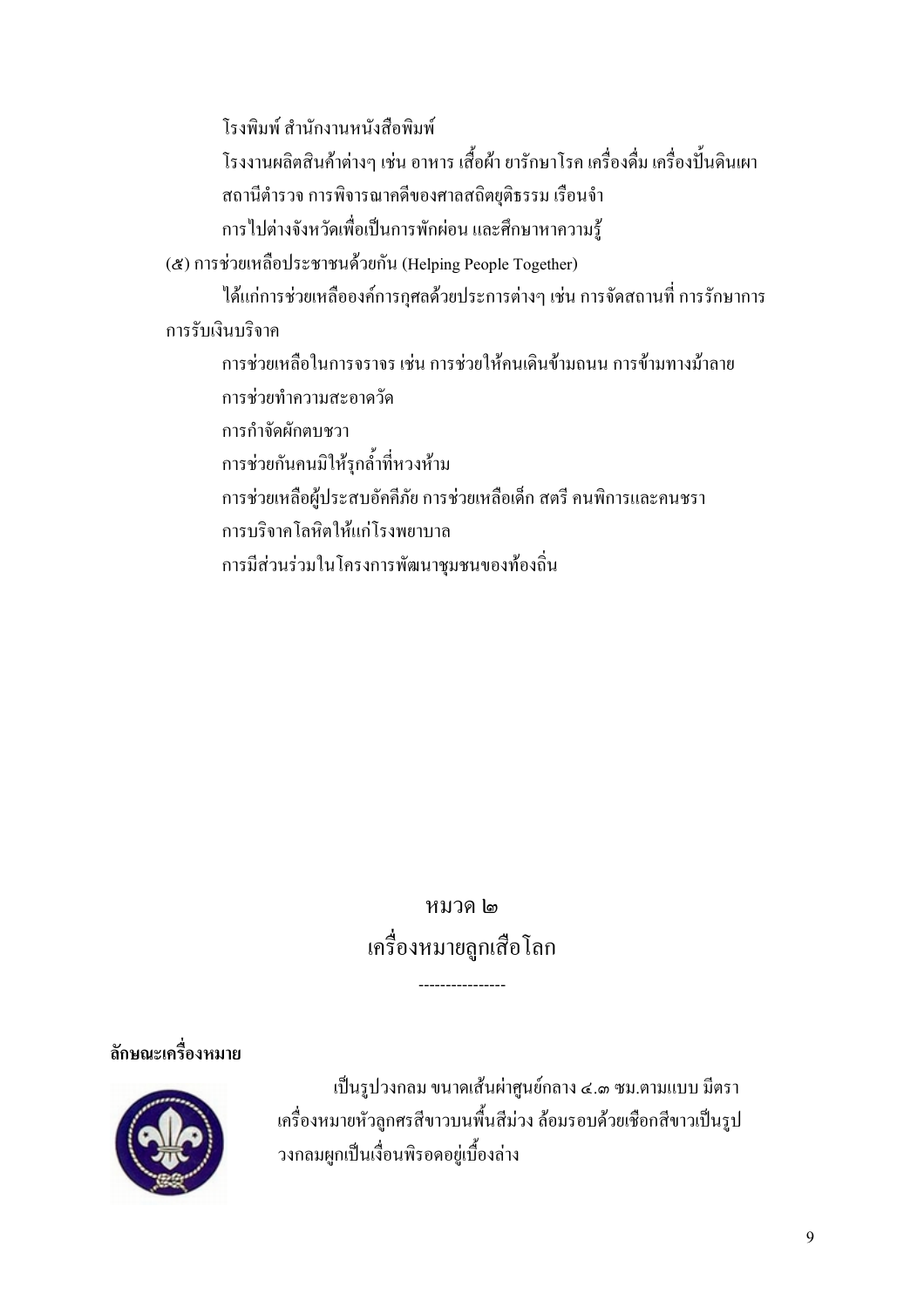โรงพิมพ์ สำนักงานหนังสือพิมพ์ โรงงานผลิตสินค้าต่างๆ เช่น อาหาร เสื้อผ้า ยารักษาโรค เครื่องดื่ม เครื่องปั้นดินเผา ิสถานีตำรวจ การพิจารณาคดีของศาลสถิตยุติธรรม เรือนจำ ึการไปต่างจังหวัดเพื่อเป็นการพักผ่อน และศึกษาหาความรู้ (๕) การช่วยเหลือประชาชนด้วยกัน (Helping People Together) ได้แก่การช่วยเหลือองค์การกุศลด้วยประการต่างๆ เช่น การจัดสถานที่ การรักษาการ การรับเงินบริจาค ้การช่วยเหลือในการจราจร เช่น การช่วยให้คนเดินข้ามถนน การข้ามทางม้าลาย การช่วยทำความสะอาดวัด การกำจัดผักตบหวา การช่วยกันคนมิให้รุกล้ำที่หวงห้าม การช่วยเหลือผู้ประสบอัคคีภัย การช่วยเหลือเด็ก สตรี คนพิการและคนชรา การบริจาคโลหิตให้แก่โรงพยาบาล การมีส่วนร่วมในโครงการพัฒนาชุมชนของท้องถิ่น

## หมวด 1๓ ้เครื่องหมายลูกเสื้อโลก

## ลักษณะเครื่องหมาย



เป็นรูปวงกลม ขนาดเส้นผ่าศูนย์กลาง ๔.๑ ซม.ตามแบบ มีตรา เครื่องหมายหัวลูกศรสีขาวบนพื้นสีม่วง ล้อมรอบด้วยเชือกสีขาวเป็นรูป วงกลมผูกเป็นเงื่อนพิรอดอยู่เบื้องล่าง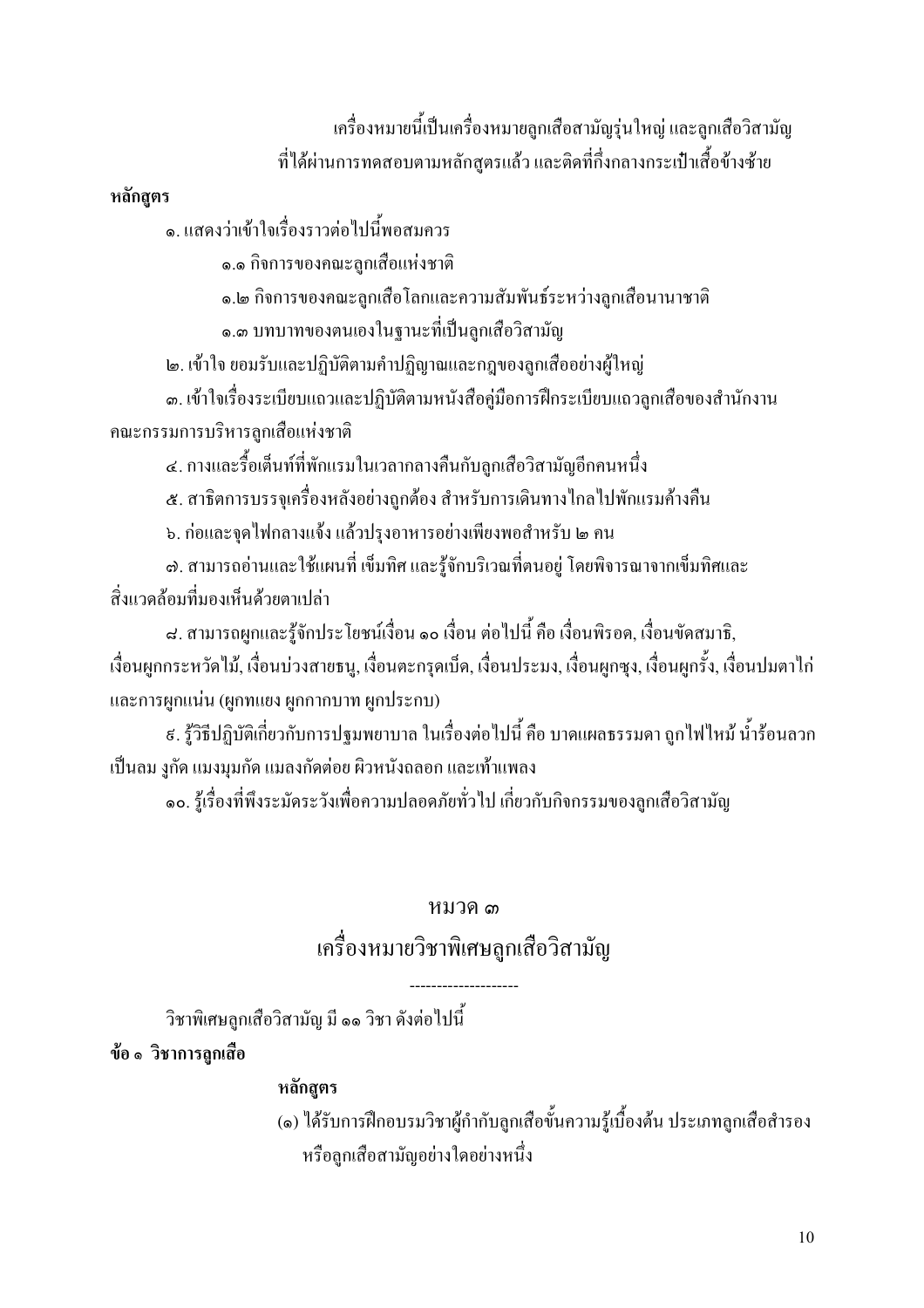เครื่องหมายนี้เป็นเครื่องหมายลูกเสือสามัญรุ่นใหญ่ และลูกเสือวิสามัญ ีที่ได้ผ่านการทดสอบตามหลักสตรแล้ว และติดที่กึ่งกลางกระเป๋าเสื้อข้างซ้าย

#### หลักสตร

๑. แสดงว่าเข้าใจเรื่องราวต่อไปนี้พอสมควร

๑.๑ กิจการของคณะลกเสือแห่งชาติ

๑.๒ กิจการของคณะลูกเสื้อโลกและความสัมพันธ์ระหว่างลูกเสื้อนานาชาติ

๑.๓ บทบาทของตนเองในฐานะที่เป็นลูกเสือวิสามัญ

๒. เข้าใจ ยอมรับและปฏิบัติตามคำปฏิญาณและกฎของลูกเสืออย่างผู้ใหญ่

ี ๑. เข้าใจเรื่องระเบียบแถวและปฏิบัติตามหนังสือคู่มือการฝึกระเบียบแถวลูกเสือของสำนักงาน ึคณะกรรมการบริหารลูกเสือแห่งชาติ

ี่๔. กางและรื้อเต็นท์ที่พักแรมในเวลากลางคืนกับลูกเสือวิสามัญอีกคนหนึ่ง

ี ๕. สาธิตการบรรจุเครื่องหลังอย่างถูกต้อง สำหรับการเดินทางไกลไปพักแรมค้างคืน

ึ ๖. ก่อและจุดไฟกลางแจ้ง แล้วปรุงอาหารอย่างเพียงพอสำหรับ ๒ คน

ี ๗. สามารถอ่านและใช้แผนที่ เข็มทิศ และรู้จักบริเวณที่ตนอยู่ โดยพิจารณาจากเข็มทิศและ สิ่งแวดล้อมที่มองเห็บด้วยตาเปล่า

ี ๘. สามารถผูกและรู้จักประโยชน์เงื่อน ๑๐ เงื่อน ต่อไปนี้ คือ เงื่อนพิรอค, เงื่อนขัดสมาธิ, เงื่อนผูกกระหวัดไม้, เงื่อนบ่วงสายธนู, เงื่อนตะกรุดเบ็ด, เงื่อนประมง, เงื่อนผูกซุง, เงื่อนผูกรั้ง, เงื่อนปมตาไก่ และการผูกแน่น (ผูกทแยง ผูกกากบาท ผูกประกบ)

่ ៩. รู้วิธีปฏิบัติเกี่ยวกับการปฐมพยาบาล ในเรื่องต่อไปนี้ คือ บาดแผลธรรมดา ถูกไฟไหม้ น้ำร้อนลวก เป็นลม งูกัด แมงมุมกัด แมลงกัดต่อย ผิวหนังถลอก และเท้าแพลง

๑๐. รู้เรื่องที่พึงระมัคระวังเพื่อความปลอคภัยทั่วไป เกี่ยวกับกิจกรรมของลูกเสือวิสามัญ

## หมวด ๓

## ้เครื่องหมายวิชาพิเศษลูกเสือวิสามัญ

้วิชาพิเศษลูกเสือวิสามัญ มี ๑๑ วิชา ดังต่อไปนี้

ข้อ ๑ วิชาการลูกเสือ

## หลักสูตร

(๑) ใค้รับการฝึกอบรมวิชาผู้กำกับลูกเสื้อขั้นความรู้เบื้องต้น ประเภทลูกเสื้อสำรอง หรือลกเสือสามัญอย่างใดอย่างหนึ่ง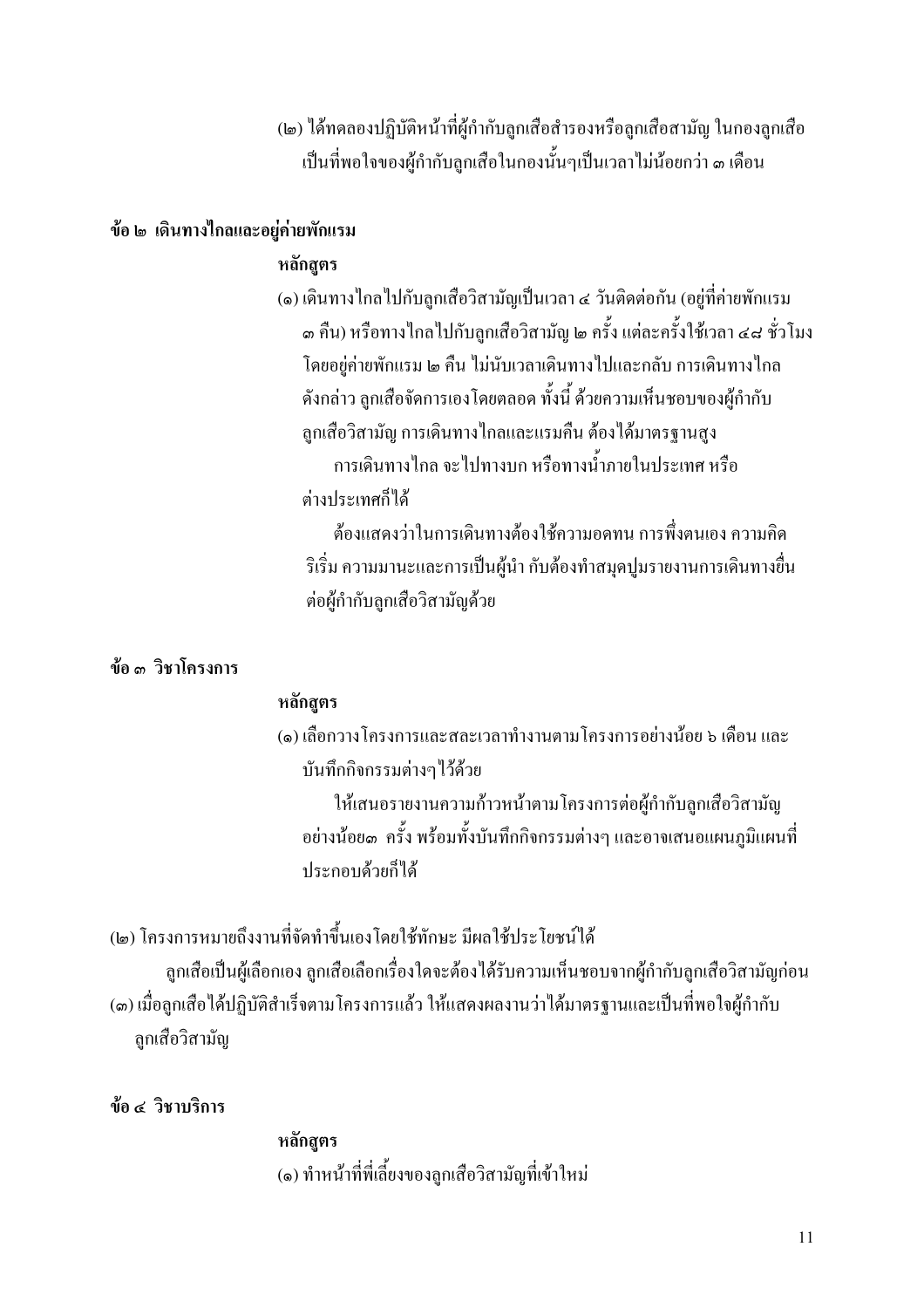(๒) ใด้ทดลองปฏิบัติหน้าที่ผ้กำกับลกเสือสำรองหรือลกเสือสามัณ ในกองลกเสือ ้เป็นที่พอใจของผู้กำกับลกเสือในกองนั้นๆเป็นเวลาไม่น้อยกว่า ๑ เคือน

#### ข้อ ๒ เดินทางใกลและอย่ค่ายพักแรม

#### หลักสตร

(๑) เดินทางไกลไปกับลูกเสือวิสามัญเป็นเวลา ๔ วันติดต่อกัน (อยู่ที่ค่ายพักแรม ๑ คืน) หรือทางไกลไปกับลูกเสือวิสามัญ ๒ ครั้ง แต่ละครั้งใช้เวลา ๔๘ ชั่วโมง โดยอย่ค่ายพักแรม ๒ คืน ไม่นับเวลาเดินทางไปและกลับ การเดินทางไกล ้ดังกล่าว ลูกเสื้อจัดการเองโดยตลอด ทั้งนี้ ด้วยความเห็นชอบของผู้กำกับ ลูกเสือวิสามัญ การเดินทางใกลและแรมคืน ต้องใด้มาตรฐานสูง ้การเดินทางไกล จะไปทางบก หรือทางน้ำภายในประเทศ หรือ ต่างประเทศก็ได้

้ต้องแสดงว่าในการเดินทางต้องใช้ความอดทน การพึ่งตนเอง ความกิด ้ริเริ่ม ความมานะและการเป็นผู้นำ กับต้องทำสมุดปูมรายงานการเดินทางขึ้น ต่อผู้กำกับลูกเสือวิสามัญด้วย

#### ข้อ ๑ วิชาโครงการ

#### หลักสูตร

(๑) เลือกวางโครงการและสละเวลาทำงานตามโครงการอย่างน้อย ๖ เดือน และ บันทึกกิจกรรมต่างๆไว้ด้วย

ให้เสนอรายงานความก้าวหน้าตามโครงการต่อผู้กำกับลูกเสือวิสามัญ ้อย่างน้อย๑ ครั้ง พร้อมทั้งบันทึกกิจกรรมต่างๆ และอาจเสนอแผนภมิแผนที่ ประกอบด้วยก็ได้

(๒) โครงการหมายถึงงานที่จัดทำขึ้นเองโดยใช้ทักษะ มีผลใช้ประโยชน์ใด้ ลูกเสือเป็นผู้เลือกเอง ลูกเสือเลือกเรื่องใดจะต้องใด้รับความเห็นชอบจากผู้กำกับลูกเสือวิสามัญก่อน (๑) เมื่อลูกเสือได้ปฏิบัติสำเร็จตามโครงการแล้ว ให้แสดงผลงานว่าได้มาตรฐานและเป็นที่พอใจผู้กำกับ ลกเสือวิสามัญ

ข้อ ๔ วิชาบริการ

หลักสตร (๑) ทำหน้าที่พี่เลี้ยงของลูกเสือวิสามัญที่เข้าใหม่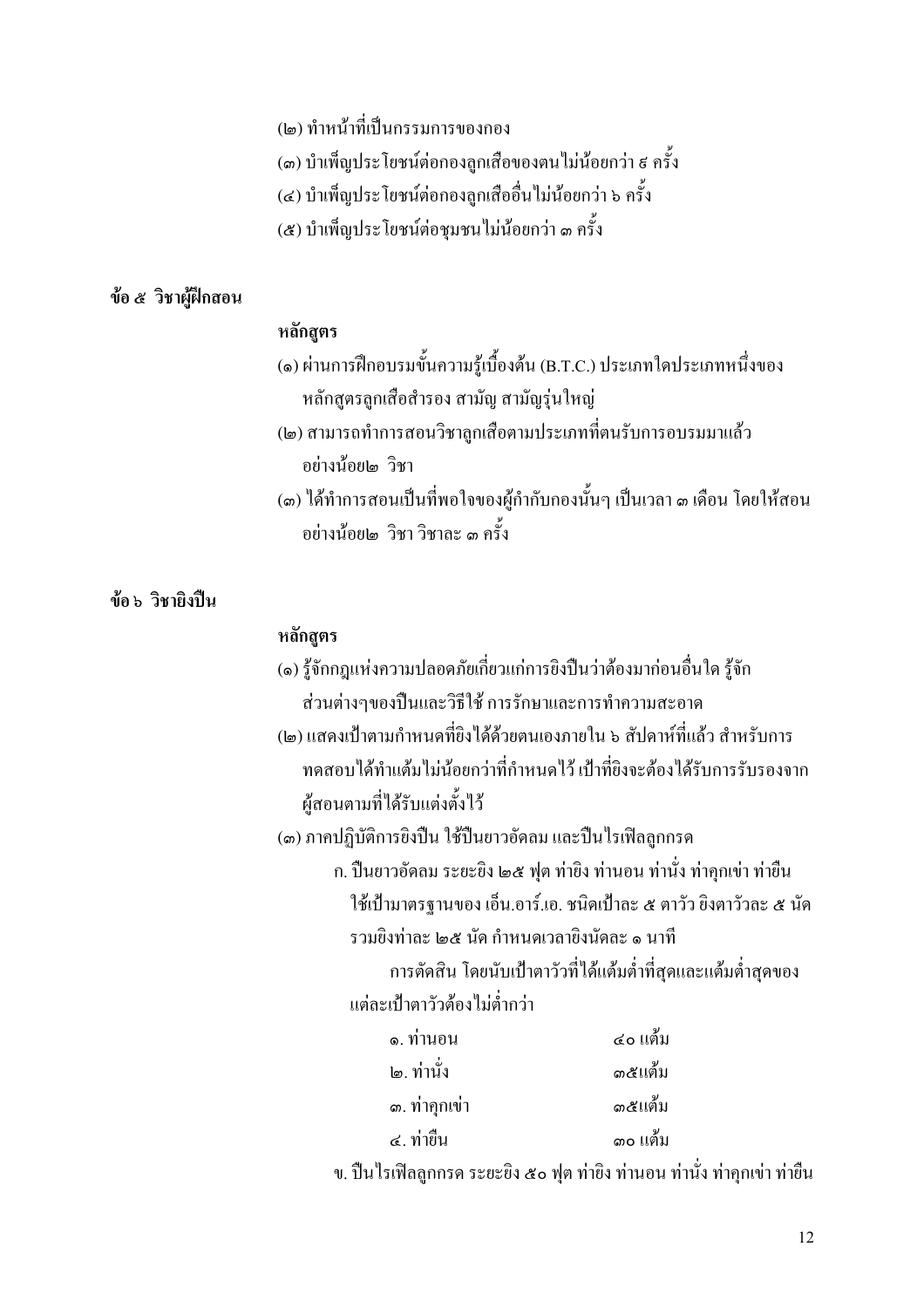## (๒) ทำหน้าที่เป็นกรรมการของกอง

(๑) บำเพ็ญประโยชน์ต่อกองลกเสือของตนไม่น้อยกว่า ๕ ครั้ง

(๔) บำเพ็ญประ โยชน์ต่อกองลูกเสืออื่น ไม่น้อยกว่า ๖ ครั้ง

(๕) บำเพ็ญประโยชน์ต่อชมชนไม่น้อยกว่า ๓ ครั้ง

#### ข้อ ๕ วิชาผู้ฝึกสอน

#### หลักสตร

- (๑) ผ่านการฝึกอบรมขั้นความรู้เบื้องต้น (B.T.C.) ประเภทใดประเภทหนึ่งของ หลักสูตรลูกเสื้อสำรอง สามัญ สามัญรุ่นใหญ่
- (๒) สามารถทำการสอนวิชาลูกเสือตามประเภทที่ตนรับการอบรมมาแล้ว ้อย่างน้อย๒ วิชา
- (๑) ใค้ทำการสอนเป็นที่พอใจของผู้กำกับกองนั้นๆ เป็นเวลา ๑ เคือน โดยให้สอน ้อย่างน้อยเด วิชา วิชากะ ๓ ครั้ง

#### ข้อ ๖ วิชายิงปืน

#### หลักสูตร

- (๑) รู้จักกฎแห่งความปลอดภัยเกี่ยวแก่การยิงปืนว่าต้องมาก่อนอื่นใด รู้จัก ส่วนต่างๆของปืนและวิธีใช้ การรักษาและการทำความสะอาด
- (๒) แสดงเป้าตามกำหนดที่ยิงได้ด้วยตนเองภายใน ๖ สัปดาห์ที่แล้ว สำหรับการ ทดสอบได้ทำแต้มไม่น้อยกว่าที่กำหนดไว้ เป้าที่ยิงจะต้องได้รับการรับรองจาก ผู้สอนตามที่ได้รับแต่งตั้งไว้

(๑) ภาคปฏิบัติการยิงปืน ใช้ปืนยาวอัดลม และปืนไรเฟิลลูกกรด

ึก. ปืนยาวอัคลม ระยะยิง ๒๕ ฟุต ท่ายิง ท่านอน ท่านั่ง ท่าคุกเข่า ท่ายืน ใช้เป้ามาตรฐานของ เอ็น.อาร์.เอ. ชนิดเป้าละ ๕ ตาวัว ยิงตาวัวละ ๕ นัด รวมยิงท่าละ ๒๕ บัด กำหนดเวลายิงบัดละ ๑ นาที

การตัดสิน โดยนับเป้าตาวัวที่ได้แต้มต่ำที่สุดและแต้มต่ำสุดของ แต่ละเป๋าตาวัวต้องไม่ต่ำกว่า

| ๑. ท่านอน     | ๔๐ แต้ม |
|---------------|---------|
| ๒. ท่านั่ง    | ด๕แต้ม  |
| ๑. ท่าคุกเข่า | ด๕แต้ม  |
| ี ๔. ท่าขืน   | ดo แต้ม |

ึ่ง. ปืนไรเฟิลลูกกรด ระยะยิง ๕๐ ฟุต ท่ายิง ท่านอน ท่านั่ง ท่าคุกเข่า ท่ายืน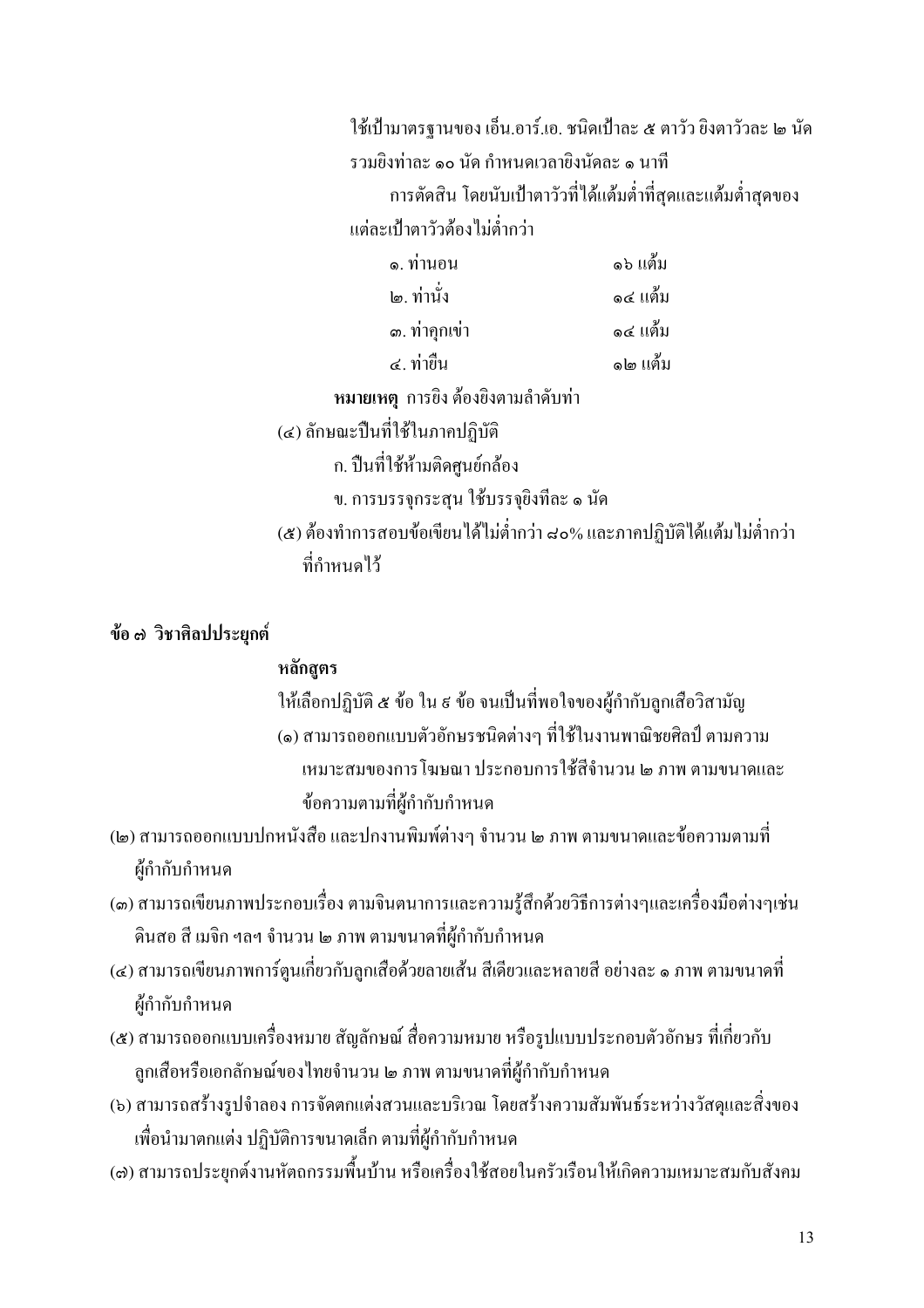ใช้เป้ามาตรฐานของ เอ็น.อาร์.เอ. ชนิดเป้าละ ๕ ตาวัว ยิงตาวัวละ ๒ นัด รวมยิงท่าละ ๑๐ นัด กำหนดเวลายิงนัดละ ๑ นาที ึการตัดสิน โดยนับเป้าตาวัวที่ได้แต้มต่ำที่สุดและแต้มต่ำสุดของ แต่ละเป๋าตาวัวต้องไม่ต่ำกว่า ุ ด่าบอบ ค5 แต้ม  $\frac{1}{2}$  $\overline{\mathcal{L}}$ 

| l๑. 11 I I J  | อ๔ แตม   |
|---------------|----------|
| ๑. ท่าคุกเข่า | ๑๔ แต้ม  |
| ี ๔. ท่ายืน   | ิ๑๒ แต้ม |

หมายเหตุ การยิง ต้องยิงตามลำดับท่า

(๔) ลักษณะปืนที่ใช้ในภาคปฏิบัติ

ึก. ปืนที่ใช้ห้ามติดศูนย์กล้อง

ข. การบรรจุกระสุน ใช้บรรจุยิงทีละ ๑ นัด

(๕) ต้องทำการสอบข้อเขียน ได้ไม่ต่ำกว่า ๘๐% และภาคปฏิบัติได้แต้มไม่ต่ำกว่า ที่กำหนดไว้

ข้อ ๗ วิชาศิลปประยุกต์

#### หลักสูตร

ให้เลือกปฏิบัติ ๕ ข้อ ใน ៩ ข้อ จนเป็นที่พอใจของผู้กำกับลูกเสือวิสามัญ (๑) สามารถออกแบบตัวอักษรชนิดต่างๆ ที่ใช้ในงานพาณิชยศิลป์ ตามความ เหมาะสมของการโฆษณา ประกอบการใช้สีถ้านวน ๒ ภาพ ตามขนาดและ ข้อความตามที่ผู้กำกับกำหนด

- (๒) สามารถออกแบบปกหนังสือ และปกงานพิมพ์ต่างๆ จำนวน ๒ ภาพ ตามขนาดและข้อความตามที่ ผู้กำกับกำหนด
- (๑) สามารถเขียนภาพประกอบเรื่อง ตามจินตนาการและความรู้สึกด้วยวิธีการต่างๆและเครื่องมือต่างๆเช่น ดินสอ สี เมจิก ฯลฯ จำนวน ๒ ภาพ ตามขนาดที่ผ้กำกับกำหนด
- (๔) สามารถเขียนภาพการ์ตูนเกี่ยวกับลูกเสื้อด้วยลายเส้น สีเดียวและหลายสี อย่างละ ๑ ภาพ ตามขนาดที่ ผู้กำกับกำหนด
- (๕) สามารถออกแบบเครื่องหมาย สัญลักษณ์ สื่อความหมาย หรือรูปแบบประกอบตัวอักษร ที่เกี่ยวกับ ลูกเสือหรือเอกลักษณ์ของไทยจำนวน ๒ ภาพ ตามขนาดที่ผู้กำกับกำหนด
- (๖) สามารถสร้างรูปจำลอง การจัดตกแต่งสวนและบริเวณ โดยสร้างความสัมพันธ์ระหว่างวัสดุและสิ่งของ เพื่อนำมาตกแต่ง ปฏิบัติการขนาดเล็ก ตามที่ผู้กำกับกำหนด
- (๘) สามารถประยุกต์งานหัตถกรรมพื้นบ้าน หรือเครื่องใช้สอยในครัวเรือนให้เกิดความเหมาะสมกับสังคม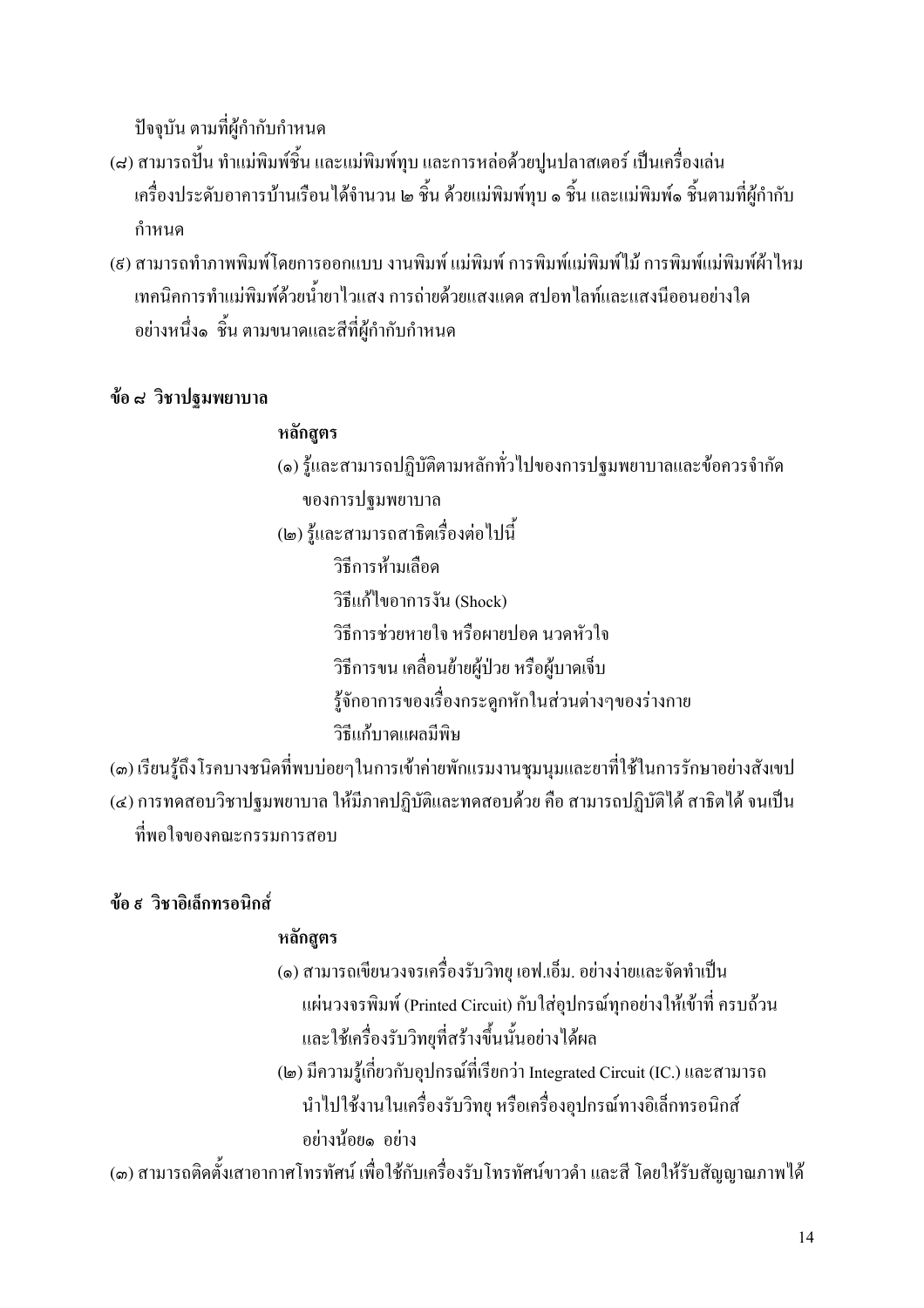้ปัจจบัน ตามที่ผ้กำกับกำหนด

- (๘) สามารถปื้น ทำแม่พิมพ์ชิ้น และแม่พิมพ์ทุบ และการหล่อด้วยปูนปลาสเตอร์ เป็นเครื่องเล่น เครื่องประดับอาคารบ้านเรือน ได้จำนวน ๒ ชิ้น ด้วยแม่พิมพ์ทุบ ๑ ชิ้น และแม่พิมพ์๑ ชิ้นตามที่ผู้กำกับ กำหบด
- (ส) สามารถทำภาพพิมพ์โดยการออกแบบ งานพิมพ์ แม่พิมพ์ การพิมพ์แม่พิมพ์ใน้ การพิมพ์แม่พิมพ์ผ้าใหม ้เทคนิคการทำแม่พิมพ์ด้วยน้ำยาไวแสง การถ่ายด้วยแสงแดด สปอทไลท์และแสงนีออนอย่างใด อย่างหนึ่ง๑ ชิ้น ตามขนาดและสีที่ผู้กำกับกำหนด

## ข้อ ๘ วิชาปฐมพยาบาล

#### หลักสูตร

- (๑) รู้และสามารถปฏิบัติตามหลักทั่วไปของการปฐมพยาบาลและข้อควรจำกัด ของการปฐมพยาบาล
- (๒) รู้และสามารถสาธิตเรื่องต่อไปนี้
	- วิธีการห้ามเลือด
	- วิธีแก้ไขอาการงัน (Shock)
	- วิธีการช่วยหายใจ หรือผายปอด นวดหัวใจ
	- วิธีการขน เคลื่อนย้ายผู้ป่วย หรือผู้บาดเจ็บ
	- รู้จักอาการของเรื่องกระดูกหักในส่วนต่างๆของร่างกาย
	- วิธีแก้บาดแผกบีพิน
- (๑) เรียนรู้ถึงโรคบางชนิดที่พบบ่อยๆในการเข้าค่ายพักแรมงานชุมนุมและยาที่ใช้ในการรักษาอย่างสังเขป (๔) การทดสอบวิชาปฐมพยาบาล ให้มีภาคปฏิบัติและทดสอบด้วย คือ สามารถปฏิบัติได้ สาธิตได้ จนเป็น ที่พอใจของคณะกรรมการสอบ

## ข้อ ส วิชาอิเล็กทรอนิกส์

## หลักสตร

- (๑) สามารถเขียนวงจรเครื่องรับวิทยุ เอฟ.เอ็ม, อย่างง่ายและจัดทำเป็น แผ่นวงจรพิมพ์ (Printed Circuit) กับใส่อุปกรณ์ทุกอย่างให้เข้าที่ ครบถ้วน และใช้เครื่องรับวิทยุที่สร้างขึ้นนั้นอย่างได้ผล
- (๒) มีความรู้เกี่ยวกับอุปกรณ์ที่เรียกว่า Integrated Circuit (IC.) และสามารถ นำไปใช้งานในเครื่องรับวิทย หรือเครื่องอปกรณ์ทางอิเล็กทรอนิกส์ อย่างน้อย๑ อย่าง

(๑) สามารถติดตั้งเสาอากาศโทรทัศน์ เพื่อใช้กับเครื่องรับโทรทัศน์ขาวดำ และสี โดยให้รับสัญญาณภาพได้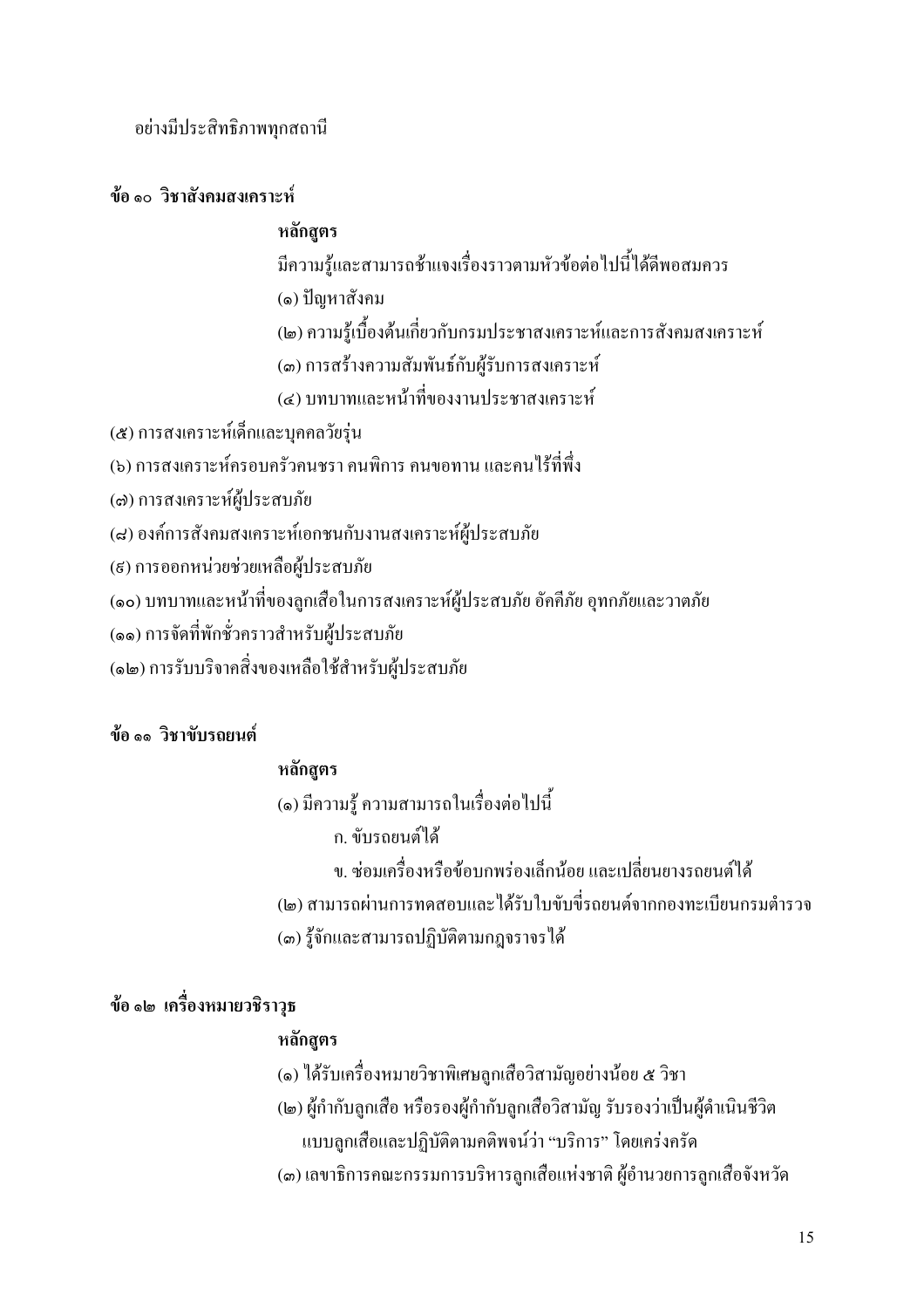อย่างมีประสิทธิภาพทกสถานี

## ข้อ ๑๐ วิชาสังคมสงเคราะห์

#### หลักสตร

มีความร้และสามารถช้าแจงเรื่องราวตามหัวข้อต่อไปนี้ได้ดีพอสมควร

(๑) ปัญหาสังคม

(๒) ความร้เบื้องต้นเกี่ยวกับกรมประชาสงเคราะห์และการสังคมสงเคราะห์

(๑) การสร้างความสัมพันธ์กับผ้รับการสงเคราะห์

(๔) บทบาทและหน้าที่ของงานประชาสงเคราะห์

(๕) การสงเคราะห์เด็กและบุคคลวัยรุ่น

(๖) การสงเคราะห์ครอบครัวคนชรา คนพิการ คนขอทาน และคนไร้ที่พึ่ง

(๗) การสงเคราะห์ผู้ประสบภัย

(๘) องค์การสังคมสงเคราะห์เอกชนกับงานสงเคราะห์ผู้ประสบภัย

(ธ) การออกหน่วยช่วยเหลือผู้ประสบภัย

(๑๐) บทบาทและหน้าที่ของลูกเสือในการสงเคราะห์ผู้ประสบภัย อัคคีภัย อุทกภัยและวาตภัย

(๑๑) การจัดที่พักชั่วคราวสำหรับผู้ประสบภัย

(๑๒) การรับบริจาคสิ่งของเหลือใช้สำหรับผู้ประสบภัย

## ข้อ ๑๑ วิชาขับรถยนต์

## หลักสูตร

(๑) มีความรู้ ความสามารถในเรื่องต่อไปนี้

- ก. ขับรถยนต์ได้
- ึง. ซ่อมเครื่องหรือข้อบกพร่องเล็กน้อย และเปลี่ยนยางรถยนต์ได้
- (๒) สามารถผ่านการทดสอบและได้รับใบขับขี่รถยนต์จากกองทะเบียนกรมตำรวจ

(๑) รู้จักและสามารถปฏิบัติตามกฎจราจรได้

## ข้อ ๑๒ เครื่องหมายวชิราวุธ

## หลักสูตร

(๑) ใค้รับเครื่องหมายวิชาพิเศษถูกเสือวิสามัญอย่างน้อย ๕ วิชา

- (๒) ผู้กำกับลูกเสือ หรือรองผู้กำกับลูกเสือวิสามัญ รับรองว่าเป็นผู้คำเนินชีวิต แบบลูกเสื้อและปฏิบัติตามคติพจน์ว่า "บริการ" โดยเคร่งครัด
- (๑) เลขาธิการคณะกรรมการบริหารลูกเสื้อแห่งชาติ ผู้อำนวยการลูกเสื้อจังหวัด